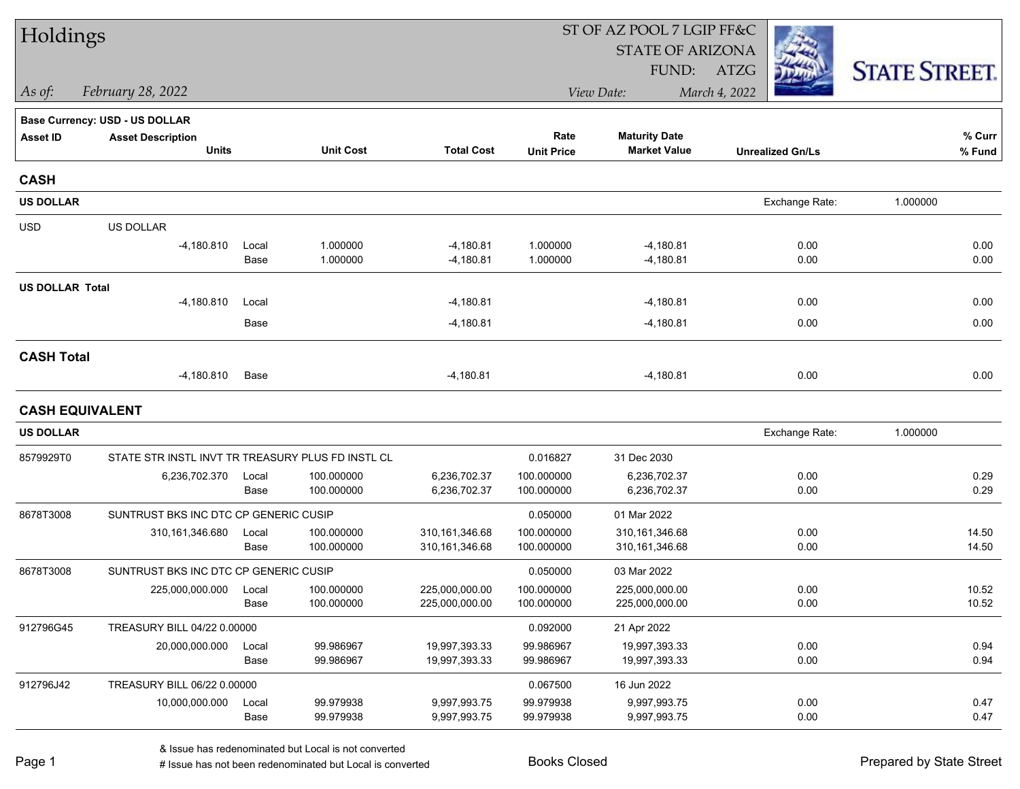| Holdings               |                                                   |       |                  |                   | ST OF AZ POOL 7 LGIP FF&C |                         |                         |                      |  |  |
|------------------------|---------------------------------------------------|-------|------------------|-------------------|---------------------------|-------------------------|-------------------------|----------------------|--|--|
|                        |                                                   |       |                  |                   |                           | <b>STATE OF ARIZONA</b> |                         |                      |  |  |
|                        |                                                   |       |                  |                   |                           | FUND:                   | ATZG                    | <b>STATE STREET.</b> |  |  |
| As of:                 | February 28, 2022                                 |       |                  |                   |                           | View Date:              | March 4, 2022           |                      |  |  |
|                        | <b>Base Currency: USD - US DOLLAR</b>             |       |                  |                   |                           |                         |                         |                      |  |  |
| <b>Asset ID</b>        | <b>Asset Description</b>                          |       |                  |                   | Rate                      | <b>Maturity Date</b>    |                         | % Curr               |  |  |
|                        | <b>Units</b>                                      |       | <b>Unit Cost</b> | <b>Total Cost</b> | <b>Unit Price</b>         | <b>Market Value</b>     | <b>Unrealized Gn/Ls</b> | % Fund               |  |  |
| <b>CASH</b>            |                                                   |       |                  |                   |                           |                         |                         |                      |  |  |
| <b>US DOLLAR</b>       |                                                   |       |                  |                   |                           |                         | Exchange Rate:          | 1.000000             |  |  |
| <b>USD</b>             | US DOLLAR                                         |       |                  |                   |                           |                         |                         |                      |  |  |
|                        | $-4,180.810$                                      | Local | 1.000000         | $-4,180.81$       | 1.000000                  | $-4,180.81$             | 0.00                    | 0.00                 |  |  |
|                        |                                                   | Base  | 1.000000         | $-4,180.81$       | 1.000000                  | $-4,180.81$             | 0.00                    | 0.00                 |  |  |
| <b>US DOLLAR Total</b> |                                                   |       |                  |                   |                           |                         |                         |                      |  |  |
|                        | $-4,180.810$                                      | Local |                  | $-4,180.81$       |                           | $-4,180.81$             | 0.00                    | 0.00                 |  |  |
|                        |                                                   | Base  |                  | $-4,180.81$       |                           | $-4,180.81$             | 0.00                    | 0.00                 |  |  |
| <b>CASH Total</b>      |                                                   |       |                  |                   |                           |                         |                         |                      |  |  |
|                        | $-4,180.810$                                      | Base  |                  | $-4,180.81$       |                           | $-4,180.81$             | 0.00                    | 0.00                 |  |  |
| <b>CASH EQUIVALENT</b> |                                                   |       |                  |                   |                           |                         |                         |                      |  |  |
| <b>US DOLLAR</b>       |                                                   |       |                  |                   |                           |                         | Exchange Rate:          | 1.000000             |  |  |
| 8579929T0              | STATE STR INSTL INVT TR TREASURY PLUS FD INSTL CL |       |                  |                   | 0.016827                  | 31 Dec 2030             |                         |                      |  |  |
|                        | 6,236,702.370                                     | Local | 100.000000       | 6,236,702.37      | 100.000000                | 6,236,702.37            | 0.00                    | 0.29                 |  |  |
|                        |                                                   | Base  | 100.000000       | 6,236,702.37      | 100.000000                | 6,236,702.37            | 0.00                    | 0.29                 |  |  |
| 8678T3008              | SUNTRUST BKS INC DTC CP GENERIC CUSIP             |       |                  |                   | 0.050000                  | 01 Mar 2022             |                         |                      |  |  |
|                        | 310, 161, 346.680                                 | Local | 100.000000       | 310, 161, 346.68  | 100.000000                | 310,161,346.68          | 0.00                    | 14.50                |  |  |
|                        |                                                   | Base  | 100.000000       | 310, 161, 346.68  | 100.000000                | 310, 161, 346.68        | 0.00                    | 14.50                |  |  |
| 8678T3008              | SUNTRUST BKS INC DTC CP GENERIC CUSIP             |       |                  |                   | 0.050000                  | 03 Mar 2022             |                         |                      |  |  |
|                        | 225,000,000.000                                   | Local | 100.000000       | 225,000,000.00    | 100.000000                | 225,000,000.00          | 0.00                    | 10.52                |  |  |
|                        |                                                   | Base  | 100.000000       | 225,000,000.00    | 100.000000                | 225,000,000.00          | 0.00                    | 10.52                |  |  |
| 912796G45              | TREASURY BILL 04/22 0.00000                       |       |                  |                   | 0.092000                  | 21 Apr 2022             |                         |                      |  |  |
|                        | 20,000,000.000                                    | Local | 99.986967        | 19,997,393.33     | 99.986967                 | 19,997,393.33           | 0.00                    | 0.94                 |  |  |
|                        |                                                   | Base  | 99.986967        | 19,997,393.33     | 99.986967                 | 19,997,393.33           | 0.00                    | 0.94                 |  |  |
| 912796J42              | TREASURY BILL 06/22 0.00000                       |       |                  |                   | 0.067500                  | 16 Jun 2022             |                         |                      |  |  |
|                        | 10,000,000.000                                    | Local | 99.979938        | 9,997,993.75      | 99.979938                 | 9,997,993.75            | 0.00                    | 0.47                 |  |  |
|                        |                                                   | Base  | 99.979938        | 9,997,993.75      | 99.979938                 | 9,997,993.75            | 0.00                    | 0.47                 |  |  |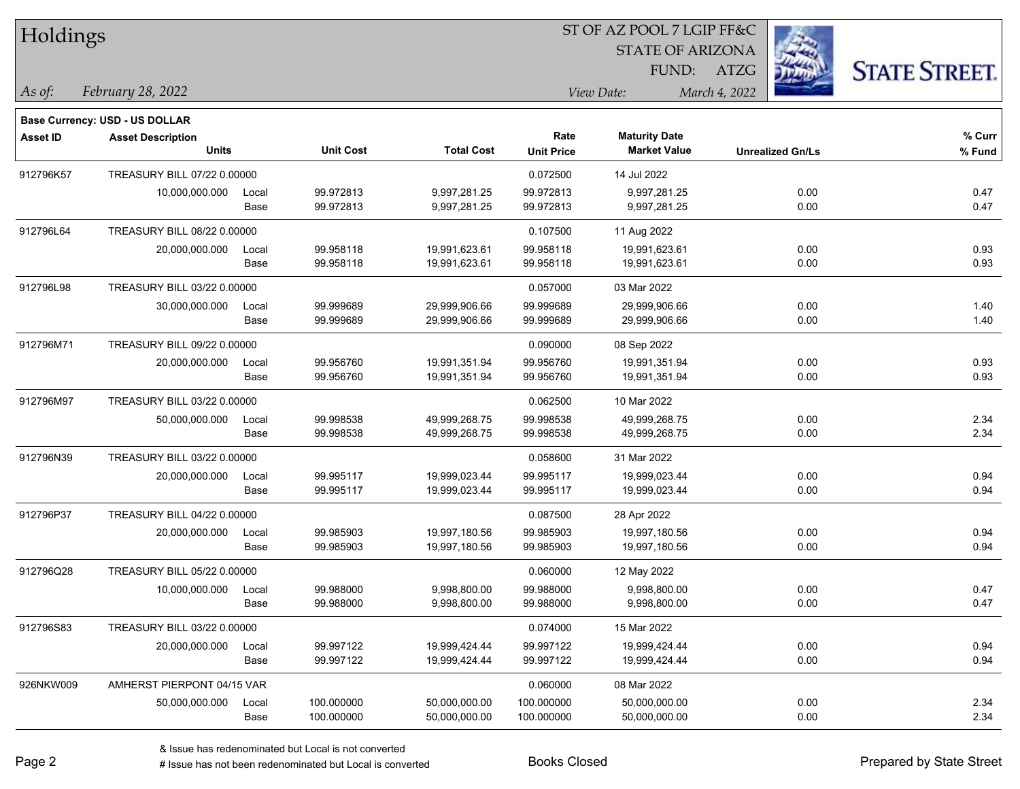| Holdings        |                                       |       |                  |                   |                   |                         |                         |                      |
|-----------------|---------------------------------------|-------|------------------|-------------------|-------------------|-------------------------|-------------------------|----------------------|
|                 |                                       |       |                  |                   |                   | <b>STATE OF ARIZONA</b> |                         |                      |
|                 |                                       |       |                  |                   |                   | FUND:                   | <b>ATZG</b>             | <b>STATE STREET.</b> |
| As of:          | February 28, 2022                     |       |                  |                   |                   | View Date:              | March 4, 2022           |                      |
|                 | <b>Base Currency: USD - US DOLLAR</b> |       |                  |                   |                   |                         |                         |                      |
| <b>Asset ID</b> | <b>Asset Description</b>              |       |                  |                   | Rate              | <b>Maturity Date</b>    |                         | % Curr               |
|                 | <b>Units</b>                          |       | <b>Unit Cost</b> | <b>Total Cost</b> | <b>Unit Price</b> | <b>Market Value</b>     | <b>Unrealized Gn/Ls</b> | % Fund               |
| 912796K57       | TREASURY BILL 07/22 0.00000           |       |                  |                   | 0.072500          | 14 Jul 2022             |                         |                      |
|                 | 10,000,000.000                        | Local | 99.972813        | 9,997,281.25      | 99.972813         | 9,997,281.25            | 0.00                    | 0.47                 |
|                 |                                       | Base  | 99.972813        | 9,997,281.25      | 99.972813         | 9,997,281.25            | 0.00                    | 0.47                 |
| 912796L64       | TREASURY BILL 08/22 0.00000           |       |                  |                   | 0.107500          | 11 Aug 2022             |                         |                      |
|                 | 20,000,000.000                        | Local | 99.958118        | 19,991,623.61     | 99.958118         | 19,991,623.61           | 0.00                    | 0.93                 |
|                 |                                       | Base  | 99.958118        | 19,991,623.61     | 99.958118         | 19,991,623.61           | 0.00                    | 0.93                 |
| 912796L98       | TREASURY BILL 03/22 0.00000           |       |                  |                   | 0.057000          | 03 Mar 2022             |                         |                      |
|                 | 30,000,000.000                        | Local | 99.999689        | 29,999,906.66     | 99.999689         | 29,999,906.66           | 0.00                    | 1.40                 |
|                 |                                       | Base  | 99.999689        | 29,999,906.66     | 99.999689         | 29,999,906.66           | 0.00                    | 1.40                 |
| 912796M71       | TREASURY BILL 09/22 0.00000           |       |                  |                   | 0.090000          | 08 Sep 2022             |                         |                      |
|                 | 20,000,000.000                        | Local | 99.956760        | 19,991,351.94     | 99.956760         | 19,991,351.94           | 0.00                    | 0.93                 |
|                 |                                       | Base  | 99.956760        | 19,991,351.94     | 99.956760         | 19,991,351.94           | 0.00                    | 0.93                 |
| 912796M97       | TREASURY BILL 03/22 0.00000           |       |                  |                   | 0.062500          | 10 Mar 2022             |                         |                      |
|                 | 50,000,000.000                        | Local | 99.998538        | 49,999,268.75     | 99.998538         | 49,999,268.75           | 0.00                    | 2.34                 |
|                 |                                       | Base  | 99.998538        | 49,999,268.75     | 99.998538         | 49,999,268.75           | 0.00                    | 2.34                 |
| 912796N39       | TREASURY BILL 03/22 0.00000           |       |                  |                   | 0.058600          | 31 Mar 2022             |                         |                      |
|                 | 20,000,000.000                        | Local | 99.995117        | 19,999,023.44     | 99.995117         | 19,999,023.44           | 0.00                    | 0.94                 |
|                 |                                       | Base  | 99.995117        | 19,999,023.44     | 99.995117         | 19,999,023.44           | 0.00                    | 0.94                 |
| 912796P37       | TREASURY BILL 04/22 0.00000           |       |                  |                   | 0.087500          | 28 Apr 2022             |                         |                      |
|                 | 20,000,000.000                        | Local | 99.985903        | 19,997,180.56     | 99.985903         | 19,997,180.56           | 0.00                    | 0.94                 |
|                 |                                       | Base  | 99.985903        | 19,997,180.56     | 99.985903         | 19,997,180.56           | 0.00                    | 0.94                 |
| 912796Q28       | TREASURY BILL 05/22 0.00000           |       |                  |                   | 0.060000          | 12 May 2022             |                         |                      |
|                 | 10,000,000.000                        | Local | 99.988000        | 9,998,800.00      | 99.988000         | 9,998,800.00            | 0.00                    | 0.47                 |
|                 |                                       | Base  | 99.988000        | 9,998,800.00      | 99.988000         | 9,998,800.00            | 0.00                    | 0.47                 |
| 912796S83       | TREASURY BILL 03/22 0.00000           |       |                  |                   | 0.074000          | 15 Mar 2022             |                         |                      |
|                 | 20,000,000.000                        | Local | 99.997122        | 19,999,424.44     | 99.997122         | 19,999,424.44           | 0.00                    | 0.94                 |
|                 |                                       | Base  | 99.997122        | 19,999,424.44     | 99.997122         | 19,999,424.44           | 0.00                    | 0.94                 |
| 926NKW009       | AMHERST PIERPONT 04/15 VAR            |       |                  |                   | 0.060000          | 08 Mar 2022             |                         |                      |
|                 | 50,000,000.000                        | Local | 100.000000       | 50,000,000.00     | 100.000000        | 50,000,000.00           | 0.00                    | 2.34                 |
|                 |                                       | Base  | 100.000000       | 50,000,000.00     | 100.000000        | 50,000,000.00           | 0.00                    | 2.34                 |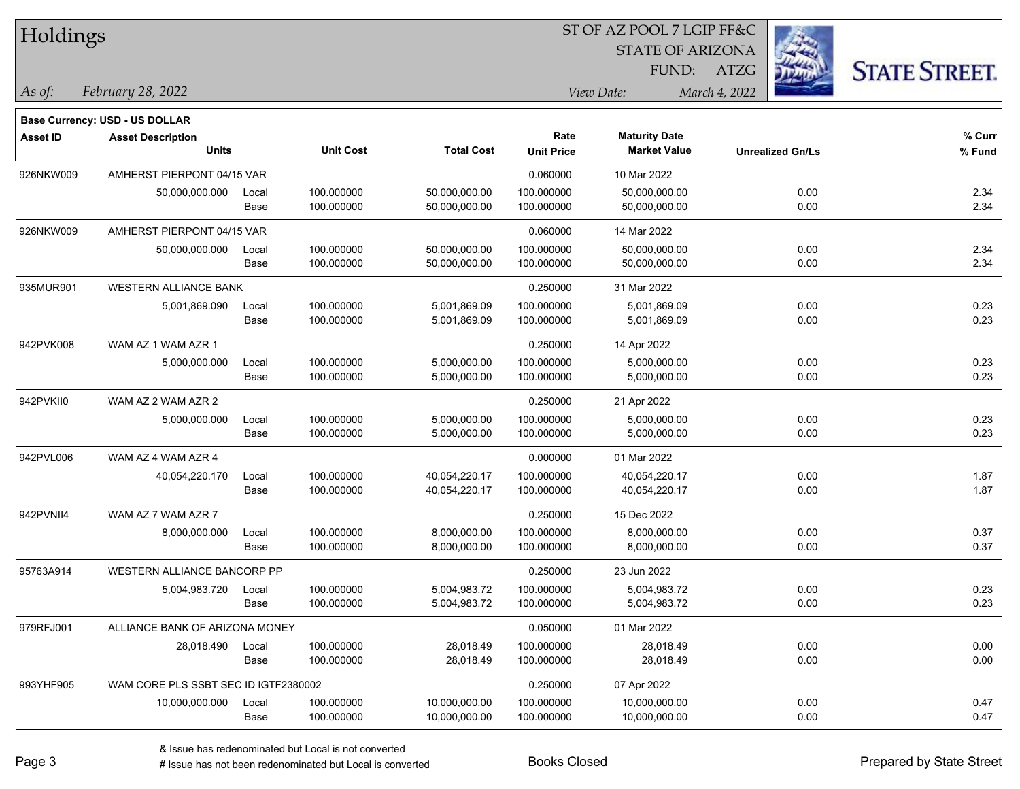| Holdings        |                                          |               |                          |                                |                           | <b>STATE OF ARIZONA</b><br>FUND:            | <b>ATZG</b>             | <b>STATE STREET.</b> |
|-----------------|------------------------------------------|---------------|--------------------------|--------------------------------|---------------------------|---------------------------------------------|-------------------------|----------------------|
| As of:          | February 28, 2022                        |               |                          |                                |                           | View Date:                                  | March 4, 2022           |                      |
|                 | <b>Base Currency: USD - US DOLLAR</b>    |               |                          |                                |                           |                                             |                         |                      |
| <b>Asset ID</b> | <b>Asset Description</b><br><b>Units</b> |               | <b>Unit Cost</b>         | <b>Total Cost</b>              | Rate<br><b>Unit Price</b> | <b>Maturity Date</b><br><b>Market Value</b> | <b>Unrealized Gn/Ls</b> | % Curr<br>% Fund     |
| 926NKW009       | AMHERST PIERPONT 04/15 VAR               |               |                          |                                | 0.060000                  | 10 Mar 2022                                 |                         |                      |
|                 | 50,000,000.000                           | Local<br>Base | 100.000000<br>100.000000 | 50,000,000.00<br>50,000,000.00 | 100.000000<br>100.000000  | 50,000,000.00<br>50,000,000.00              | 0.00<br>0.00            | 2.34<br>2.34         |
| 926NKW009       | AMHERST PIERPONT 04/15 VAR               |               |                          |                                | 0.060000                  | 14 Mar 2022                                 |                         |                      |
|                 | 50,000,000.000                           | Local<br>Base | 100.000000<br>100.000000 | 50,000,000.00<br>50,000,000.00 | 100.000000<br>100.000000  | 50,000,000.00<br>50,000,000.00              | 0.00<br>0.00            | 2.34<br>2.34         |
| 935MUR901       | <b>WESTERN ALLIANCE BANK</b>             |               |                          |                                | 0.250000                  | 31 Mar 2022                                 |                         |                      |
|                 | 5,001,869.090                            | Local<br>Base | 100.000000<br>100.000000 | 5,001,869.09<br>5,001,869.09   | 100.000000<br>100.000000  | 5,001,869.09<br>5,001,869.09                | 0.00<br>0.00            | 0.23<br>0.23         |
| 942PVK008       | WAM AZ 1 WAM AZR 1                       |               |                          |                                | 0.250000                  | 14 Apr 2022                                 |                         |                      |
|                 | 5,000,000.000                            | Local<br>Base | 100.000000<br>100.000000 | 5,000,000.00<br>5,000,000.00   | 100.000000<br>100.000000  | 5,000,000.00<br>5,000,000.00                | 0.00<br>0.00            | 0.23<br>0.23         |
| 942PVKII0       | WAM AZ 2 WAM AZR 2                       |               |                          |                                | 0.250000                  | 21 Apr 2022                                 |                         |                      |
|                 | 5,000,000.000                            | Local<br>Base | 100.000000<br>100.000000 | 5,000,000.00<br>5,000,000.00   | 100.000000<br>100.000000  | 5,000,000.00<br>5,000,000.00                | 0.00<br>0.00            | 0.23<br>0.23         |
| 942PVL006       | WAM AZ 4 WAM AZR 4                       |               |                          |                                | 0.000000                  | 01 Mar 2022                                 |                         |                      |
|                 | 40,054,220.170                           | Local<br>Base | 100.000000<br>100.000000 | 40,054,220.17<br>40,054,220.17 | 100.000000<br>100.000000  | 40,054,220.17<br>40,054,220.17              | 0.00<br>0.00            | 1.87<br>1.87         |
| 942PVNII4       | WAM AZ 7 WAM AZR 7                       |               |                          |                                | 0.250000                  | 15 Dec 2022                                 |                         |                      |
|                 | 8,000,000.000                            | Local<br>Base | 100.000000<br>100.000000 | 8,000,000.00<br>8,000,000.00   | 100.000000<br>100.000000  | 8,000,000.00<br>8,000,000.00                | 0.00<br>0.00            | 0.37<br>0.37         |
| 95763A914       | WESTERN ALLIANCE BANCORP PP              |               |                          |                                | 0.250000                  | 23 Jun 2022                                 |                         |                      |
|                 | 5,004,983.720                            | Local<br>Base | 100.000000<br>100.000000 | 5,004,983.72<br>5,004,983.72   | 100.000000<br>100.000000  | 5,004,983.72<br>5,004,983.72                | 0.00<br>0.00            | 0.23<br>0.23         |
| 979RFJ001       | ALLIANCE BANK OF ARIZONA MONEY           |               |                          |                                | 0.050000                  | 01 Mar 2022                                 |                         |                      |
|                 | 28,018.490                               | Local<br>Base | 100.000000<br>100.000000 | 28,018.49<br>28,018.49         | 100.000000<br>100.000000  | 28,018.49<br>28,018.49                      | 0.00<br>0.00            | 0.00<br>0.00         |
| 993YHF905       | WAM CORE PLS SSBT SEC ID IGTF2380002     |               |                          |                                | 0.250000                  | 07 Apr 2022                                 |                         |                      |
|                 | 10,000,000.000                           | Local<br>Base | 100.000000<br>100.000000 | 10,000,000.00<br>10,000,000.00 | 100.000000<br>100.000000  | 10,000,000.00<br>10,000,000.00              | 0.00<br>0.00            | 0.47<br>0.47         |

ST OF AZ POOL 7 LGIP FF&C

 $TT.1.1$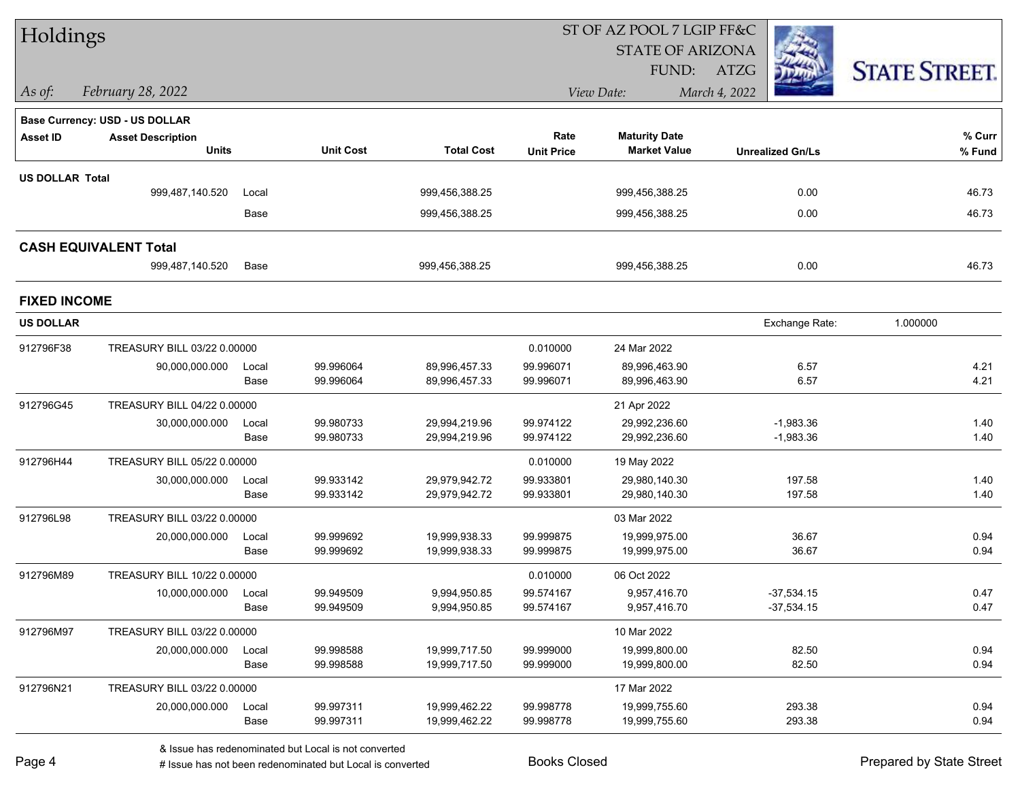| Holdings               |                                |               |                        |                                |                        | ST OF AZ POOL 7 LGIP FF&C      |                            |                      |
|------------------------|--------------------------------|---------------|------------------------|--------------------------------|------------------------|--------------------------------|----------------------------|----------------------|
|                        |                                |               |                        |                                |                        | <b>STATE OF ARIZONA</b>        |                            |                      |
|                        |                                |               |                        |                                |                        | FUND:                          | ATZG                       | <b>STATE STREET.</b> |
| As of:                 | February 28, 2022              |               |                        |                                |                        | View Date:                     | March 4, 2022              |                      |
|                        | Base Currency: USD - US DOLLAR |               |                        |                                |                        |                                |                            |                      |
| <b>Asset ID</b>        | <b>Asset Description</b>       |               |                        |                                | Rate                   | <b>Maturity Date</b>           |                            | % Curr               |
|                        | <b>Units</b>                   |               | <b>Unit Cost</b>       | <b>Total Cost</b>              | <b>Unit Price</b>      | <b>Market Value</b>            | <b>Unrealized Gn/Ls</b>    | % Fund               |
| <b>US DOLLAR Total</b> |                                |               |                        |                                |                        |                                |                            |                      |
|                        | 999,487,140.520                | Local         |                        | 999,456,388.25                 |                        | 999,456,388.25                 | 0.00                       | 46.73                |
|                        |                                | Base          |                        | 999,456,388.25                 |                        | 999,456,388.25                 | 0.00                       | 46.73                |
|                        | <b>CASH EQUIVALENT Total</b>   |               |                        |                                |                        |                                |                            |                      |
|                        | 999,487,140.520                | Base          |                        | 999,456,388.25                 |                        | 999,456,388.25                 | 0.00                       | 46.73                |
| <b>FIXED INCOME</b>    |                                |               |                        |                                |                        |                                |                            |                      |
| <b>US DOLLAR</b>       |                                |               |                        |                                |                        |                                | Exchange Rate:             | 1.000000             |
| 912796F38              | TREASURY BILL 03/22 0.00000    |               |                        |                                | 0.010000               | 24 Mar 2022                    |                            |                      |
|                        | 90,000,000.000                 | Local         | 99.996064              | 89,996,457.33                  | 99.996071              | 89,996,463.90                  | 6.57                       | 4.21                 |
|                        |                                | Base          | 99.996064              | 89,996,457.33                  | 99.996071              | 89,996,463.90                  | 6.57                       | 4.21                 |
| 912796G45              | TREASURY BILL 04/22 0.00000    |               |                        |                                |                        | 21 Apr 2022                    |                            |                      |
|                        | 30,000,000.000                 | Local<br>Base | 99.980733<br>99.980733 | 29,994,219.96<br>29,994,219.96 | 99.974122<br>99.974122 | 29,992,236.60<br>29,992,236.60 | $-1,983.36$<br>$-1,983.36$ | 1.40<br>1.40         |
|                        |                                |               |                        |                                |                        |                                |                            |                      |
| 912796H44              | TREASURY BILL 05/22 0.00000    |               |                        |                                | 0.010000               | 19 May 2022                    |                            |                      |
|                        | 30,000,000.000                 | Local<br>Base | 99.933142<br>99.933142 | 29,979,942.72<br>29,979,942.72 | 99.933801<br>99.933801 | 29,980,140.30<br>29,980,140.30 | 197.58<br>197.58           | 1.40<br>1.40         |
| 912796L98              | TREASURY BILL 03/22 0.00000    |               |                        |                                |                        | 03 Mar 2022                    |                            |                      |
|                        | 20,000,000.000                 | Local         | 99.999692              | 19,999,938.33                  | 99.999875              | 19,999,975.00                  | 36.67                      | 0.94                 |
|                        |                                | Base          | 99.999692              | 19,999,938.33                  | 99.999875              | 19,999,975.00                  | 36.67                      | 0.94                 |
| 912796M89              | TREASURY BILL 10/22 0.00000    |               |                        |                                | 0.010000               | 06 Oct 2022                    |                            |                      |
|                        | 10,000,000.000 Local           |               | 99.949509              | 9,994,950.85                   | 99.574167              | 9,957,416.70                   | $-37,534.15$               | 0.47                 |
|                        |                                | Base          | 99.949509              | 9,994,950.85                   | 99.574167              | 9,957,416.70                   | $-37,534.15$               | 0.47                 |
| 912796M97              | TREASURY BILL 03/22 0.00000    |               |                        |                                |                        | 10 Mar 2022                    |                            |                      |
|                        | 20,000,000.000                 | Local         | 99.998588              | 19,999,717.50                  | 99.999000              | 19,999,800.00                  | 82.50                      | 0.94                 |
|                        |                                | Base          | 99.998588              | 19,999,717.50                  | 99.999000              | 19,999,800.00                  | 82.50                      | 0.94                 |
| 912796N21              | TREASURY BILL 03/22 0.00000    |               |                        |                                |                        | 17 Mar 2022                    |                            |                      |
|                        | 20,000,000.000                 | Local         | 99.997311              | 19,999,462.22                  | 99.998778              | 19,999,755.60                  | 293.38                     | 0.94                 |
|                        |                                | Base          | 99.997311              | 19,999,462.22                  | 99.998778              | 19,999,755.60                  | 293.38                     | 0.94                 |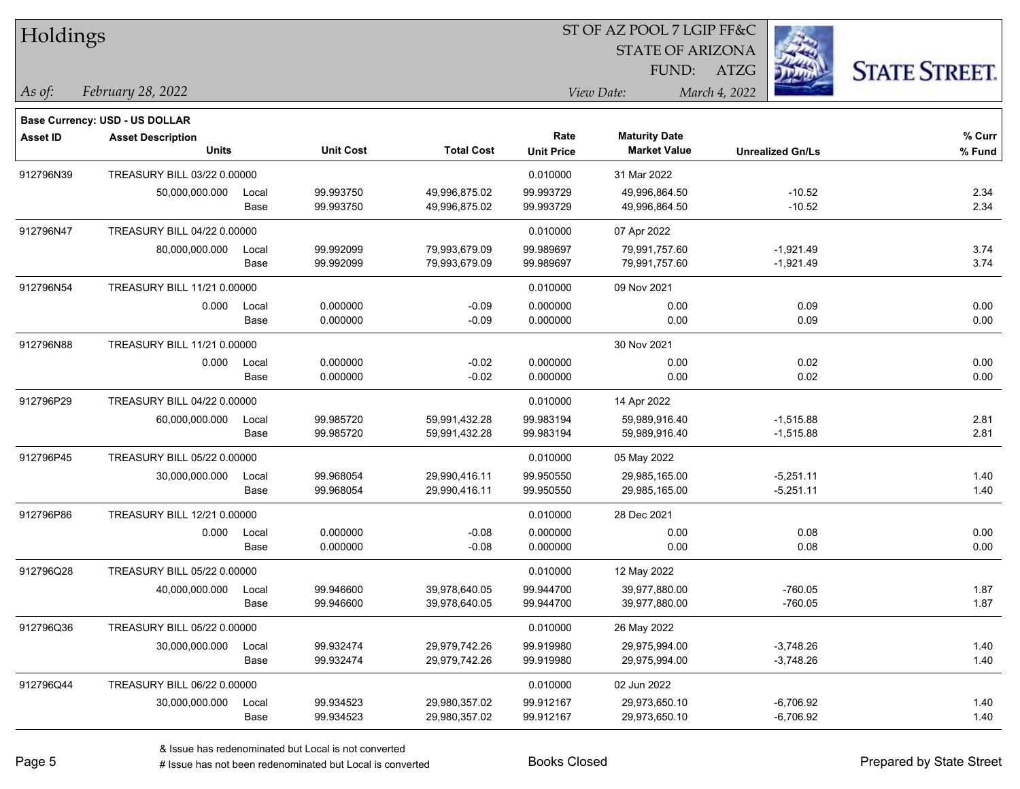| Holdings        |                                |       |                  |                   |                   | ST OF AZ POOL 7 LGIP FF&C |                         |                      |
|-----------------|--------------------------------|-------|------------------|-------------------|-------------------|---------------------------|-------------------------|----------------------|
|                 |                                |       |                  |                   |                   | <b>STATE OF ARIZONA</b>   |                         |                      |
|                 |                                |       |                  |                   |                   | FUND:                     | ATZG                    | <b>STATE STREET.</b> |
| As of:          | February 28, 2022              |       |                  |                   |                   | View Date:                | March 4, 2022           |                      |
|                 | Base Currency: USD - US DOLLAR |       |                  |                   |                   |                           |                         |                      |
| <b>Asset ID</b> | <b>Asset Description</b>       |       |                  |                   | Rate              | <b>Maturity Date</b>      |                         | % Curr               |
|                 | <b>Units</b>                   |       | <b>Unit Cost</b> | <b>Total Cost</b> | <b>Unit Price</b> | <b>Market Value</b>       | <b>Unrealized Gn/Ls</b> | % Fund               |
| 912796N39       | TREASURY BILL 03/22 0.00000    |       |                  |                   | 0.010000          | 31 Mar 2022               |                         |                      |
|                 | 50,000,000.000                 | Local | 99.993750        | 49,996,875.02     | 99.993729         | 49,996,864.50             | $-10.52$                | 2.34                 |
|                 |                                | Base  | 99.993750        | 49,996,875.02     | 99.993729         | 49,996,864.50             | $-10.52$                | 2.34                 |
| 912796N47       | TREASURY BILL 04/22 0.00000    |       |                  |                   | 0.010000          | 07 Apr 2022               |                         |                      |
|                 | 80,000,000.000                 | Local | 99.992099        | 79,993,679.09     | 99.989697         | 79,991,757.60             | $-1,921.49$             | 3.74                 |
|                 |                                | Base  | 99.992099        | 79,993,679.09     | 99.989697         | 79,991,757.60             | $-1,921.49$             | 3.74                 |
| 912796N54       | TREASURY BILL 11/21 0.00000    |       |                  |                   | 0.010000          | 09 Nov 2021               |                         |                      |
|                 | 0.000                          | Local | 0.000000         | $-0.09$           | 0.000000          | 0.00                      | 0.09                    | 0.00                 |
|                 |                                | Base  | 0.000000         | $-0.09$           | 0.000000          | 0.00                      | 0.09                    | 0.00                 |
| 912796N88       | TREASURY BILL 11/21 0.00000    |       |                  |                   |                   | 30 Nov 2021               |                         |                      |
|                 | 0.000                          | Local | 0.000000         | $-0.02$           | 0.000000          | 0.00                      | 0.02                    | 0.00                 |
|                 |                                | Base  | 0.000000         | $-0.02$           | 0.000000          | 0.00                      | 0.02                    | 0.00                 |
| 912796P29       | TREASURY BILL 04/22 0.00000    |       |                  |                   | 0.010000          | 14 Apr 2022               |                         |                      |
|                 | 60,000,000.000                 | Local | 99.985720        | 59,991,432.28     | 99.983194         | 59,989,916.40             | $-1,515.88$             | 2.81                 |
|                 |                                | Base  | 99.985720        | 59,991,432.28     | 99.983194         | 59,989,916.40             | $-1,515.88$             | 2.81                 |
| 912796P45       | TREASURY BILL 05/22 0.00000    |       |                  |                   | 0.010000          | 05 May 2022               |                         |                      |
|                 | 30,000,000.000                 | Local | 99.968054        | 29,990,416.11     | 99.950550         | 29,985,165.00             | $-5,251.11$             | 1.40                 |
|                 |                                | Base  | 99.968054        | 29,990,416.11     | 99.950550         | 29,985,165.00             | $-5,251.11$             | 1.40                 |
| 912796P86       | TREASURY BILL 12/21 0.00000    |       |                  |                   | 0.010000          | 28 Dec 2021               |                         |                      |
|                 | 0.000                          | Local | 0.000000         | $-0.08$           | 0.000000          | 0.00                      | 0.08                    | 0.00                 |
|                 |                                | Base  | 0.000000         | $-0.08$           | 0.000000          | 0.00                      | 0.08                    | 0.00                 |
| 912796Q28       | TREASURY BILL 05/22 0.00000    |       |                  |                   | 0.010000          | 12 May 2022               |                         |                      |
|                 | 40,000,000.000                 | Local | 99.946600        | 39,978,640.05     | 99.944700         | 39,977,880.00             | -760.05                 | 1.87                 |
|                 |                                | Base  | 99.946600        | 39,978,640.05     | 99.944700         | 39,977,880.00             | $-760.05$               | 1.87                 |
| 912796Q36       | TREASURY BILL 05/22 0.00000    |       |                  |                   | 0.010000          | 26 May 2022               |                         |                      |
|                 | 30,000,000.000                 | Local | 99.932474        | 29,979,742.26     | 99.919980         | 29,975,994.00             | $-3,748.26$             | 1.40                 |
|                 |                                | Base  | 99.932474        | 29,979,742.26     | 99.919980         | 29,975,994.00             | $-3,748.26$             | 1.40                 |
| 912796Q44       | TREASURY BILL 06/22 0.00000    |       |                  |                   | 0.010000          | 02 Jun 2022               |                         |                      |
|                 | 30,000,000.000                 | Local | 99.934523        | 29,980,357.02     | 99.912167         | 29,973,650.10             | $-6,706.92$             | 1.40                 |
|                 |                                | Base  | 99.934523        | 29,980,357.02     | 99.912167         | 29,973,650.10             | $-6,706.92$             | 1.40                 |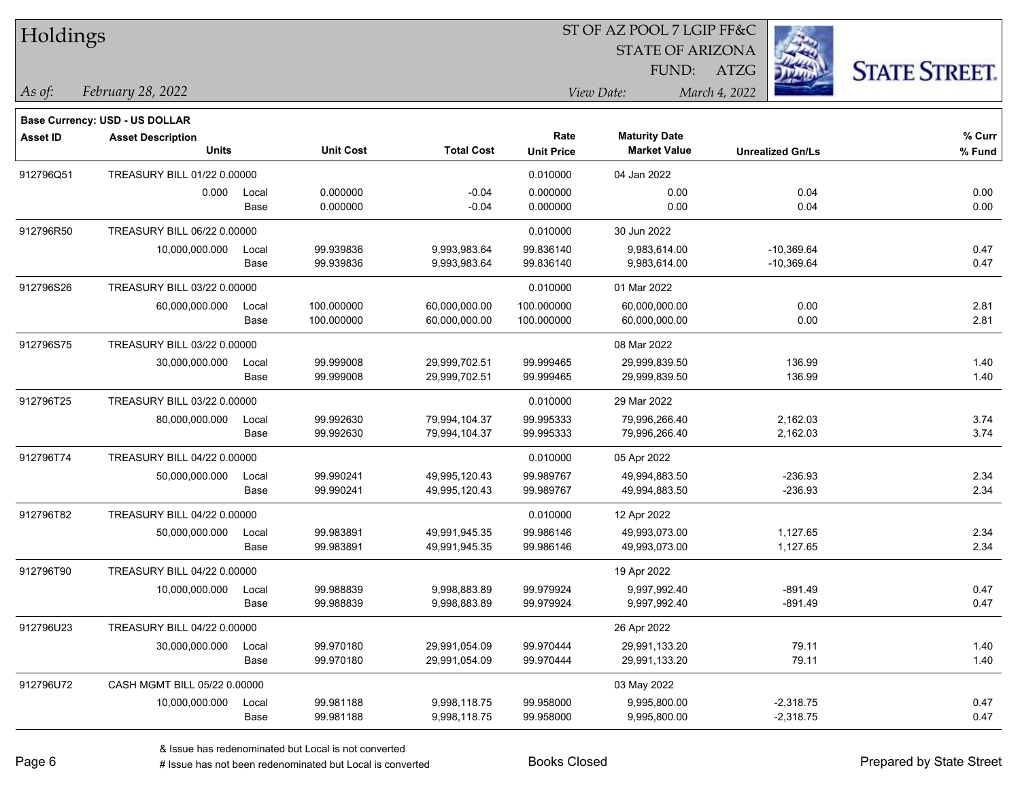| Holdings        |                                          |       |                  |                   |                           |                                             |                         |                      |
|-----------------|------------------------------------------|-------|------------------|-------------------|---------------------------|---------------------------------------------|-------------------------|----------------------|
|                 |                                          |       |                  |                   |                           | <b>STATE OF ARIZONA</b>                     |                         |                      |
|                 |                                          |       |                  |                   |                           | FUND:                                       | ATZG                    | <b>STATE STREET.</b> |
| As of:          | February 28, 2022                        |       |                  |                   |                           | View Date:                                  | March 4, 2022           |                      |
|                 |                                          |       |                  |                   |                           |                                             |                         |                      |
|                 | <b>Base Currency: USD - US DOLLAR</b>    |       |                  |                   |                           |                                             |                         |                      |
| <b>Asset ID</b> | <b>Asset Description</b><br><b>Units</b> |       | <b>Unit Cost</b> | <b>Total Cost</b> | Rate<br><b>Unit Price</b> | <b>Maturity Date</b><br><b>Market Value</b> | <b>Unrealized Gn/Ls</b> | % Curr<br>% Fund     |
| 912796Q51       | TREASURY BILL 01/22 0.00000              |       |                  |                   | 0.010000                  | 04 Jan 2022                                 |                         |                      |
|                 | 0.000                                    | Local | 0.000000         | $-0.04$           | 0.000000                  | 0.00                                        | 0.04                    | 0.00                 |
|                 |                                          | Base  | 0.000000         | $-0.04$           | 0.000000                  | 0.00                                        | 0.04                    | 0.00                 |
| 912796R50       | TREASURY BILL 06/22 0.00000              |       |                  |                   | 0.010000                  | 30 Jun 2022                                 |                         |                      |
|                 | 10,000,000.000                           | Local | 99.939836        | 9,993,983.64      | 99.836140                 | 9,983,614.00                                | $-10,369.64$            | 0.47                 |
|                 |                                          | Base  | 99.939836        | 9,993,983.64      | 99.836140                 | 9,983,614.00                                | $-10,369.64$            | 0.47                 |
| 912796S26       | TREASURY BILL 03/22 0.00000              |       |                  |                   | 0.010000                  | 01 Mar 2022                                 |                         |                      |
|                 | 60,000,000.000                           | Local | 100.000000       | 60,000,000.00     | 100.000000                | 60,000,000.00                               | 0.00                    | 2.81                 |
|                 |                                          | Base  | 100.000000       | 60,000,000.00     | 100.000000                | 60,000,000.00                               | 0.00                    | 2.81                 |
| 912796S75       | TREASURY BILL 03/22 0.00000              |       |                  |                   |                           | 08 Mar 2022                                 |                         |                      |
|                 | 30,000,000.000                           | Local | 99.999008        | 29,999,702.51     | 99.999465                 | 29,999,839.50                               | 136.99                  | 1.40                 |
|                 |                                          | Base  | 99.999008        | 29,999,702.51     | 99.999465                 | 29,999,839.50                               | 136.99                  | 1.40                 |
| 912796T25       | TREASURY BILL 03/22 0.00000              |       |                  |                   | 0.010000                  | 29 Mar 2022                                 |                         |                      |
|                 | 80,000,000.000                           | Local | 99.992630        | 79,994,104.37     | 99.995333                 | 79,996,266.40                               | 2,162.03                | 3.74                 |
|                 |                                          | Base  | 99.992630        | 79,994,104.37     | 99.995333                 | 79,996,266.40                               | 2,162.03                | 3.74                 |
| 912796T74       | TREASURY BILL 04/22 0.00000              |       |                  |                   | 0.010000                  | 05 Apr 2022                                 |                         |                      |
|                 | 50,000,000.000                           | Local | 99.990241        | 49,995,120.43     | 99.989767                 | 49,994,883.50                               | $-236.93$               | 2.34                 |
|                 |                                          | Base  | 99.990241        | 49,995,120.43     | 99.989767                 | 49,994,883.50                               | $-236.93$               | 2.34                 |
| 912796T82       | TREASURY BILL 04/22 0.00000              |       |                  |                   | 0.010000                  | 12 Apr 2022                                 |                         |                      |
|                 | 50,000,000.000                           | Local | 99.983891        | 49,991,945.35     | 99.986146                 | 49,993,073.00                               | 1,127.65                | 2.34                 |
|                 |                                          | Base  | 99.983891        | 49,991,945.35     | 99.986146                 | 49,993,073.00                               | 1,127.65                | 2.34                 |
| 912796T90       | TREASURY BILL 04/22 0.00000              |       |                  |                   |                           | 19 Apr 2022                                 |                         |                      |
|                 | 10,000,000.000                           | Local | 99.988839        | 9,998,883.89      | 99.979924                 | 9,997,992.40                                | $-891.49$               | 0.47                 |
|                 |                                          | Base  | 99.988839        | 9,998,883.89      | 99.979924                 | 9,997,992.40                                | $-891.49$               | 0.47                 |
| 912796U23       | TREASURY BILL 04/22 0.00000              |       |                  |                   |                           | 26 Apr 2022                                 |                         |                      |
|                 | 30,000,000.000                           | Local | 99.970180        | 29,991,054.09     | 99.970444                 | 29,991,133.20                               | 79.11                   | 1.40                 |
|                 |                                          | Base  | 99.970180        | 29,991,054.09     | 99.970444                 | 29,991,133.20                               | 79.11                   | 1.40                 |
| 912796U72       | CASH MGMT BILL 05/22 0.00000             |       |                  |                   |                           | 03 May 2022                                 |                         |                      |
|                 | 10,000,000.000                           | Local | 99.981188        | 9,998,118.75      | 99.958000                 | 9,995,800.00                                | $-2,318.75$             | 0.47                 |
|                 |                                          | Base  | 99.981188        | 9,998,118.75      | 99.958000                 | 9,995,800.00                                | $-2,318.75$             | 0.47                 |

# Issue has not been redenominated but Local is converted Books Closed Prepared by State Street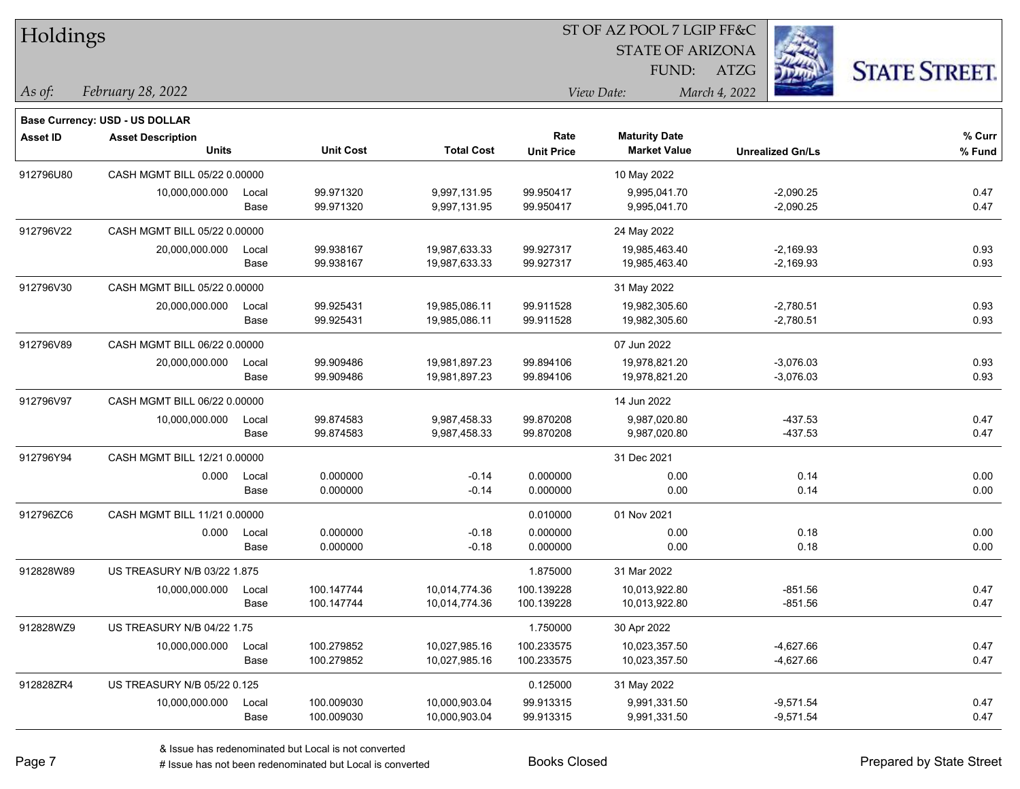| Holdings  |                                          |               |                        |                              |                        | 51 OF AZ POOL 7 LGIP FF&C                   |                            |                     |
|-----------|------------------------------------------|---------------|------------------------|------------------------------|------------------------|---------------------------------------------|----------------------------|---------------------|
|           |                                          |               |                        |                              |                        | <b>STATE OF ARIZONA</b>                     |                            |                     |
|           |                                          |               |                        |                              |                        | FUND: ATZG                                  |                            | <b>STATE STREET</b> |
| As of:    | February 28, 2022                        |               |                        |                              |                        | View Date:                                  | March 4, 2022              |                     |
|           |                                          |               |                        |                              |                        |                                             |                            |                     |
|           | <b>Base Currency: USD - US DOLLAR</b>    |               |                        |                              | Rate                   |                                             |                            | % Curr              |
| Asset ID  | <b>Asset Description</b><br><b>Units</b> |               | <b>Unit Cost</b>       | <b>Total Cost</b>            | <b>Unit Price</b>      | <b>Maturity Date</b><br><b>Market Value</b> | <b>Unrealized Gn/Ls</b>    | % Fund              |
|           |                                          |               |                        |                              |                        |                                             |                            |                     |
| 912796U80 | CASH MGMT BILL 05/22 0.00000             |               |                        |                              |                        | 10 May 2022                                 |                            |                     |
|           | 10,000,000.000                           | Local<br>Base | 99.971320<br>99.971320 | 9,997,131.95<br>9,997,131.95 | 99.950417<br>99.950417 | 9,995,041.70<br>9,995,041.70                | $-2,090.25$<br>$-2,090.25$ | 0.47<br>0.47        |
|           |                                          |               |                        |                              |                        |                                             |                            |                     |
| 912796V22 | CASH MGMT BILL 05/22 0.00000             |               |                        |                              |                        | 24 May 2022                                 |                            |                     |
|           | 20,000,000.000                           | Local         | 99.938167              | 19,987,633.33                | 99.927317              | 19,985,463.40                               | $-2,169.93$                | 0.93                |
|           |                                          | Base          | 99.938167              | 19,987,633.33                | 99.927317              | 19,985,463.40                               | $-2,169.93$                | 0.93                |
| 912796V30 | CASH MGMT BILL 05/22 0.00000             |               |                        |                              |                        | 31 May 2022                                 |                            |                     |
|           | 20,000,000.000                           | Local         | 99.925431              | 19,985,086.11                | 99.911528              | 19,982,305.60                               | $-2,780.51$                | 0.93                |
|           |                                          | Base          | 99.925431              | 19,985,086.11                | 99.911528              | 19,982,305.60                               | $-2,780.51$                | 0.93                |
| 912796V89 | CASH MGMT BILL 06/22 0.00000             |               |                        |                              |                        | 07 Jun 2022                                 |                            |                     |
|           | 20,000,000.000                           | Local         | 99.909486              | 19,981,897.23                | 99.894106              | 19,978,821.20                               | $-3,076.03$                | 0.93                |
|           |                                          | Base          | 99.909486              | 19,981,897.23                | 99.894106              | 19,978,821.20                               | $-3,076.03$                | 0.93                |
| 912796V97 | CASH MGMT BILL 06/22 0.00000             |               |                        |                              |                        | 14 Jun 2022                                 |                            |                     |
|           | 10,000,000.000                           | Local         | 99.874583              | 9,987,458.33                 | 99.870208              | 9,987,020.80                                | $-437.53$                  | 0.47                |
|           |                                          | Base          | 99.874583              | 9,987,458.33                 | 99.870208              | 9,987,020.80                                | $-437.53$                  | 0.47                |
| 912796Y94 | CASH MGMT BILL 12/21 0.00000             |               |                        |                              |                        | 31 Dec 2021                                 |                            |                     |
|           | 0.000                                    | Local         | 0.000000               | $-0.14$                      | 0.000000               | 0.00                                        | 0.14                       | 0.00                |
|           |                                          | Base          | 0.000000               | $-0.14$                      | 0.000000               | 0.00                                        | 0.14                       | 0.00                |
| 912796ZC6 | CASH MGMT BILL 11/21 0.00000             |               |                        |                              | 0.010000               | 01 Nov 2021                                 |                            |                     |
|           | 0.000                                    | Local         | 0.000000               | $-0.18$                      | 0.000000               | 0.00                                        | 0.18                       | 0.00                |
|           |                                          | Base          | 0.000000               | $-0.18$                      | 0.000000               | 0.00                                        | 0.18                       | 0.00                |
| 912828W89 | US TREASURY N/B 03/22 1.875              |               |                        |                              | 1.875000               | 31 Mar 2022                                 |                            |                     |
|           | 10,000,000.000                           | Local         | 100.147744             | 10,014,774.36                | 100.139228             | 10,013,922.80                               | $-851.56$                  | 0.47                |
|           |                                          | Base          | 100.147744             | 10,014,774.36                | 100.139228             | 10,013,922.80                               | -851.56                    | 0.47                |
| 912828WZ9 | US TREASURY N/B 04/22 1.75               |               |                        |                              | 1.750000               | 30 Apr 2022                                 |                            |                     |
|           | 10,000,000.000                           | Local         | 100.279852             | 10,027,985.16                | 100.233575             | 10,023,357.50                               | $-4,627.66$                | 0.47                |
|           |                                          | Base          | 100.279852             | 10,027,985.16                | 100.233575             | 10,023,357.50                               | -4,627.66                  | 0.47                |
| 912828ZR4 | US TREASURY N/B 05/22 0.125              |               |                        |                              | 0.125000               | 31 May 2022                                 |                            |                     |
|           | 10,000,000.000                           | Local         | 100.009030             | 10,000,903.04                | 99.913315              | 9,991,331.50                                | $-9,571.54$                | 0.47                |
|           |                                          | Base          | 100.009030             | 10,000,903.04                | 99.913315              | 9,991,331.50                                | $-9,571.54$                | 0.47                |

 $ST$  OF AZ POOL 7 LCIP FF&C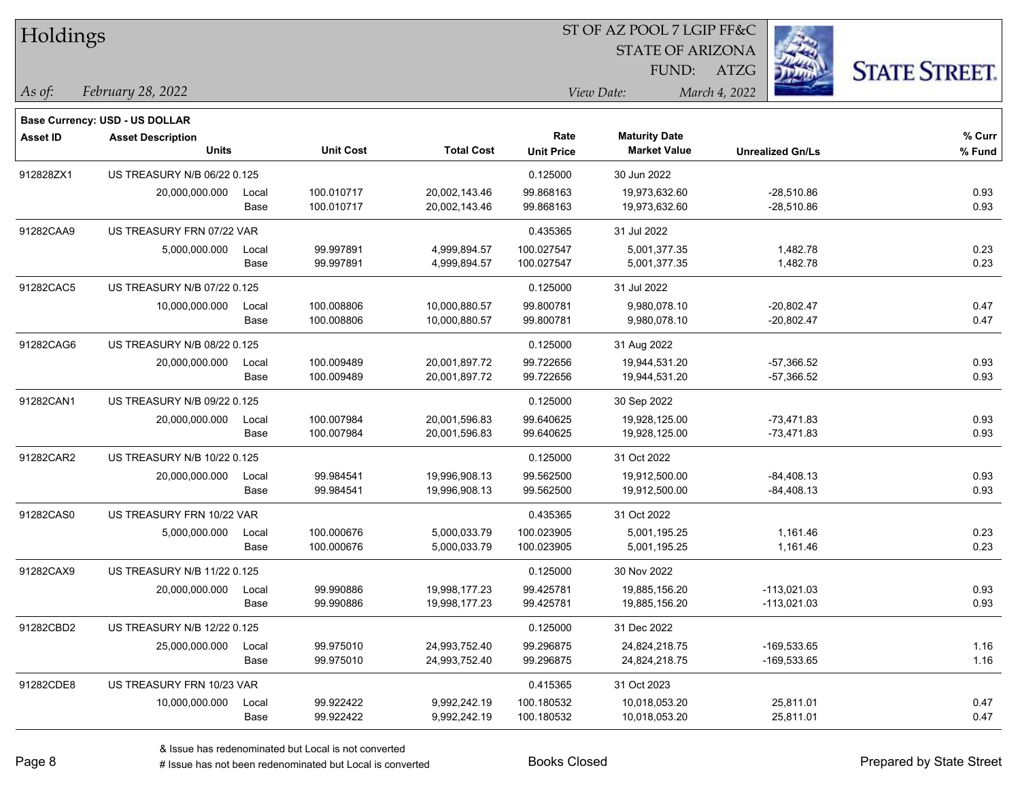| Holdings        |                                |       |                  |                   |                   |                         |                         |                      |
|-----------------|--------------------------------|-------|------------------|-------------------|-------------------|-------------------------|-------------------------|----------------------|
|                 |                                |       |                  |                   |                   | <b>STATE OF ARIZONA</b> |                         |                      |
|                 |                                |       |                  |                   |                   | FUND:                   | ATZG                    | <b>STATE STREET.</b> |
| As of:          | February 28, 2022              |       |                  |                   |                   | View Date:              | March 4, 2022           |                      |
|                 | Base Currency: USD - US DOLLAR |       |                  |                   |                   |                         |                         |                      |
| <b>Asset ID</b> | <b>Asset Description</b>       |       |                  |                   | Rate              | <b>Maturity Date</b>    |                         | % Curr               |
|                 | <b>Units</b>                   |       | <b>Unit Cost</b> | <b>Total Cost</b> | <b>Unit Price</b> | <b>Market Value</b>     | <b>Unrealized Gn/Ls</b> | % Fund               |
| 912828ZX1       | US TREASURY N/B 06/22 0.125    |       |                  |                   | 0.125000          | 30 Jun 2022             |                         |                      |
|                 | 20,000,000.000                 | Local | 100.010717       | 20,002,143.46     | 99.868163         | 19,973,632.60           | $-28,510.86$            | 0.93                 |
|                 |                                | Base  | 100.010717       | 20,002,143.46     | 99.868163         | 19,973,632.60           | $-28,510.86$            | 0.93                 |
| 91282CAA9       | US TREASURY FRN 07/22 VAR      |       |                  |                   | 0.435365          | 31 Jul 2022             |                         |                      |
|                 | 5,000,000.000                  | Local | 99.997891        | 4,999,894.57      | 100.027547        | 5,001,377.35            | 1,482.78                | 0.23                 |
|                 |                                | Base  | 99.997891        | 4,999,894.57      | 100.027547        | 5,001,377.35            | 1,482.78                | 0.23                 |
| 91282CAC5       | US TREASURY N/B 07/22 0.125    |       |                  |                   | 0.125000          | 31 Jul 2022             |                         |                      |
|                 | 10,000,000.000                 | Local | 100.008806       | 10,000,880.57     | 99.800781         | 9,980,078.10            | $-20,802.47$            | 0.47                 |
|                 |                                | Base  | 100.008806       | 10,000,880.57     | 99.800781         | 9,980,078.10            | $-20,802.47$            | 0.47                 |
| 91282CAG6       | US TREASURY N/B 08/22 0.125    |       |                  |                   | 0.125000          | 31 Aug 2022             |                         |                      |
|                 | 20,000,000.000                 | Local | 100.009489       | 20,001,897.72     | 99.722656         | 19,944,531.20           | $-57,366.52$            | 0.93                 |
|                 |                                | Base  | 100.009489       | 20,001,897.72     | 99.722656         | 19,944,531.20           | $-57,366.52$            | 0.93                 |
| 91282CAN1       | US TREASURY N/B 09/22 0.125    |       |                  |                   | 0.125000          | 30 Sep 2022             |                         |                      |
|                 | 20,000,000.000                 | Local | 100.007984       | 20,001,596.83     | 99.640625         | 19,928,125.00           | $-73,471.83$            | 0.93                 |
|                 |                                | Base  | 100.007984       | 20,001,596.83     | 99.640625         | 19,928,125.00           | -73,471.83              | 0.93                 |
| 91282CAR2       | US TREASURY N/B 10/22 0.125    |       |                  |                   | 0.125000          | 31 Oct 2022             |                         |                      |
|                 | 20,000,000.000                 | Local | 99.984541        | 19,996,908.13     | 99.562500         | 19,912,500.00           | $-84,408.13$            | 0.93                 |
|                 |                                | Base  | 99.984541        | 19,996,908.13     | 99.562500         | 19,912,500.00           | -84,408.13              | 0.93                 |
| 91282CAS0       | US TREASURY FRN 10/22 VAR      |       |                  |                   | 0.435365          | 31 Oct 2022             |                         |                      |
|                 | 5,000,000.000                  | Local | 100.000676       | 5,000,033.79      | 100.023905        | 5,001,195.25            | 1,161.46                | 0.23                 |
|                 |                                | Base  | 100.000676       | 5,000,033.79      | 100.023905        | 5,001,195.25            | 1,161.46                | 0.23                 |
| 91282CAX9       | US TREASURY N/B 11/22 0.125    |       |                  |                   | 0.125000          | 30 Nov 2022             |                         |                      |
|                 | 20,000,000.000                 | Local | 99.990886        | 19,998,177.23     | 99.425781         | 19,885,156.20           | $-113,021.03$           | 0.93                 |
|                 |                                | Base  | 99.990886        | 19,998,177.23     | 99.425781         | 19,885,156.20           | $-113,021.03$           | 0.93                 |
| 91282CBD2       | US TREASURY N/B 12/22 0.125    |       |                  |                   | 0.125000          | 31 Dec 2022             |                         |                      |
|                 | 25,000,000.000                 | Local | 99.975010        | 24,993,752.40     | 99.296875         | 24,824,218.75           | -169,533.65             | 1.16                 |
|                 |                                | Base  | 99.975010        | 24,993,752.40     | 99.296875         | 24,824,218.75           | $-169,533.65$           | 1.16                 |
| 91282CDE8       | US TREASURY FRN 10/23 VAR      |       |                  |                   | 0.415365          | 31 Oct 2023             |                         |                      |
|                 | 10,000,000.000                 | Local | 99.922422        | 9,992,242.19      | 100.180532        | 10,018,053.20           | 25,811.01               | 0.47                 |
|                 |                                | Base  | 99.922422        | 9,992,242.19      | 100.180532        | 10,018,053.20           | 25,811.01               | 0.47                 |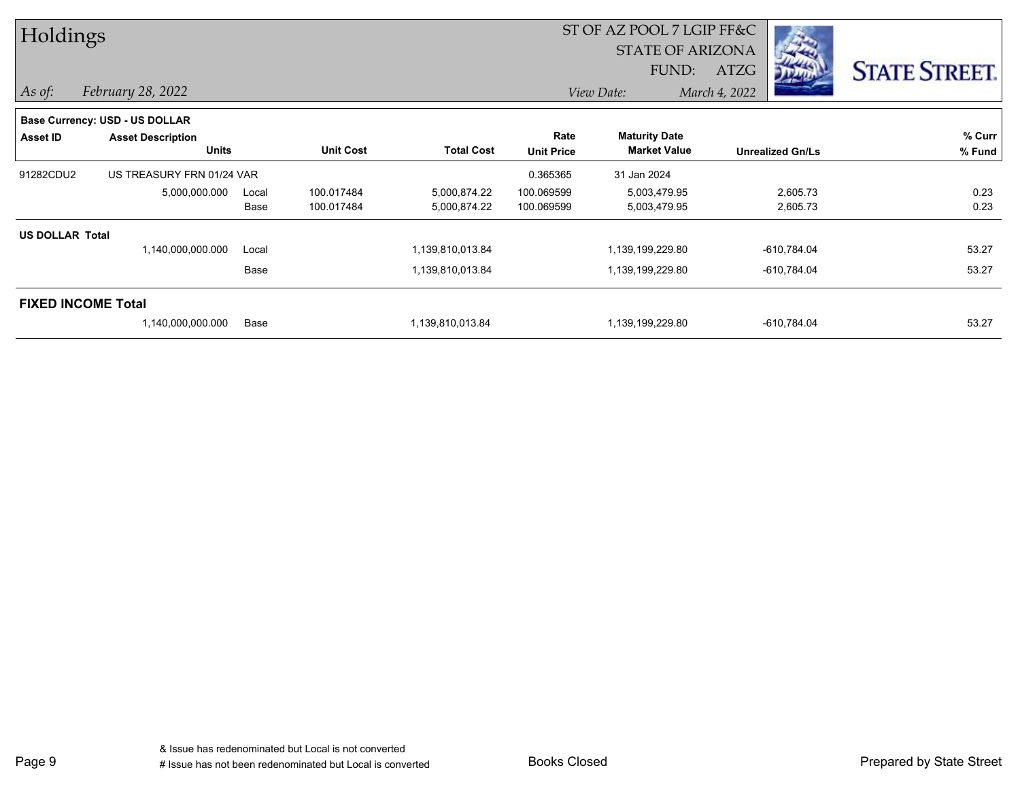| Holdings               |                                |       |                  |                   |                   | ST OF AZ POOL 7 LGIP FF&C |               |                         |                      |
|------------------------|--------------------------------|-------|------------------|-------------------|-------------------|---------------------------|---------------|-------------------------|----------------------|
|                        |                                |       |                  |                   |                   | <b>STATE OF ARIZONA</b>   |               |                         |                      |
|                        |                                |       |                  |                   |                   | FUND:                     | <b>ATZG</b>   |                         | <b>STATE STREET.</b> |
| $\vert$ As of:         | February 28, 2022              |       |                  |                   |                   | View Date:                | March 4, 2022 |                         |                      |
|                        | Base Currency: USD - US DOLLAR |       |                  |                   |                   |                           |               |                         |                      |
| Asset ID               | <b>Asset Description</b>       |       |                  |                   | Rate              | <b>Maturity Date</b>      |               |                         | % Curr               |
|                        | <b>Units</b>                   |       | <b>Unit Cost</b> | <b>Total Cost</b> | <b>Unit Price</b> | <b>Market Value</b>       |               | <b>Unrealized Gn/Ls</b> | % Fund               |
| 91282CDU2              | US TREASURY FRN 01/24 VAR      |       |                  |                   | 0.365365          | 31 Jan 2024               |               |                         |                      |
|                        | 5,000,000.000                  | Local | 100.017484       | 5,000,874.22      | 100.069599        | 5,003,479.95              |               | 2,605.73                | 0.23                 |
|                        |                                | Base  | 100.017484       | 5,000,874.22      | 100.069599        | 5,003,479.95              |               | 2,605.73                | 0.23                 |
| <b>US DOLLAR Total</b> |                                |       |                  |                   |                   |                           |               |                         |                      |
|                        | 1,140,000,000.000              | Local |                  | 1,139,810,013.84  |                   | 1,139,199,229.80          |               | $-610,784.04$           | 53.27                |
|                        |                                | Base  |                  | 1,139,810,013.84  |                   | 1,139,199,229.80          |               | $-610,784.04$           | 53.27                |
|                        | <b>FIXED INCOME Total</b>      |       |                  |                   |                   |                           |               |                         |                      |
|                        | 1,140,000,000.000              | Base  |                  | 1,139,810,013.84  |                   | 1,139,199,229.80          |               | $-610,784.04$           | 53.27                |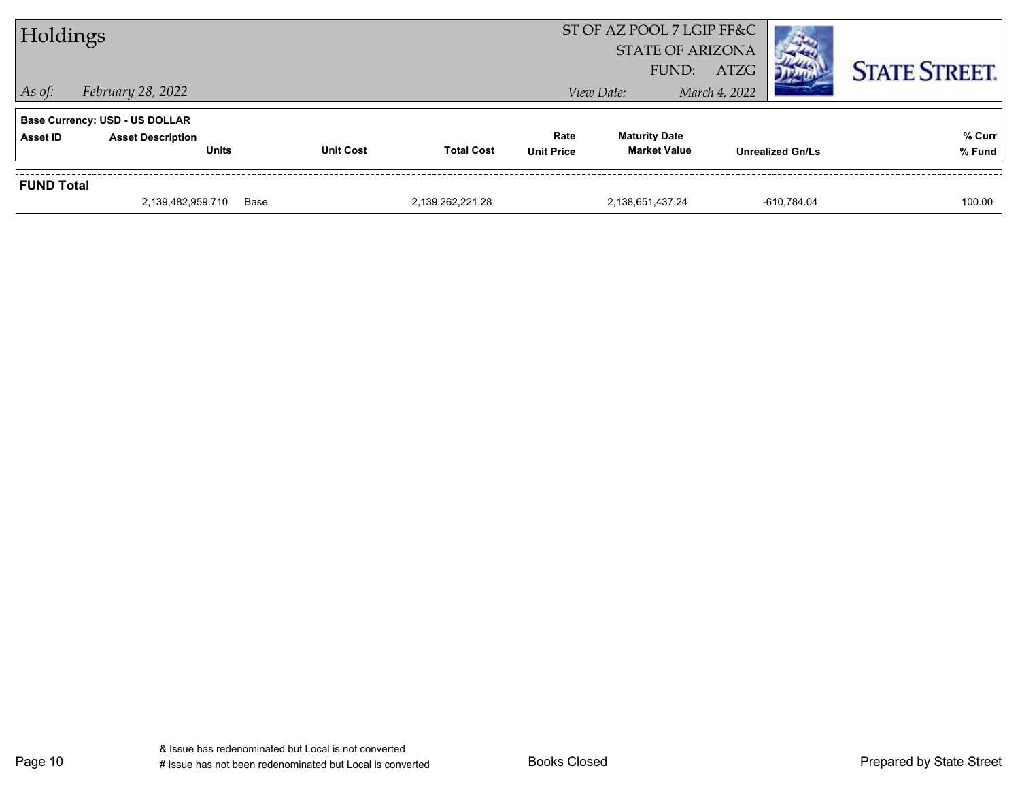| Holdings          |                                          |                  |                   |                           | ST OF AZ POOL 7 LGIP FF&C<br><b>STATE OF ARIZONA</b><br>FUND: | ATZG                    | <b>STATE STREET.</b> |
|-------------------|------------------------------------------|------------------|-------------------|---------------------------|---------------------------------------------------------------|-------------------------|----------------------|
| $\vert$ As of:    | <i>February 28, 2022</i>                 |                  |                   |                           | View Date:                                                    | March 4, 2022           |                      |
|                   | <b>Base Currency: USD - US DOLLAR</b>    |                  |                   |                           |                                                               |                         |                      |
| Asset ID          | <b>Asset Description</b><br><b>Units</b> | <b>Unit Cost</b> | <b>Total Cost</b> | Rate<br><b>Unit Price</b> | <b>Maturity Date</b><br><b>Market Value</b>                   | <b>Unrealized Gn/Ls</b> | % Curr<br>% Fund     |
|                   |                                          |                  |                   |                           |                                                               |                         |                      |
| <b>FUND Total</b> |                                          |                  |                   |                           |                                                               |                         |                      |
|                   | 2,139,482,959.710                        | Base             | 2.139.262.221.28  |                           | 2,138,651,437.24                                              | -610.784.04             | 100.00               |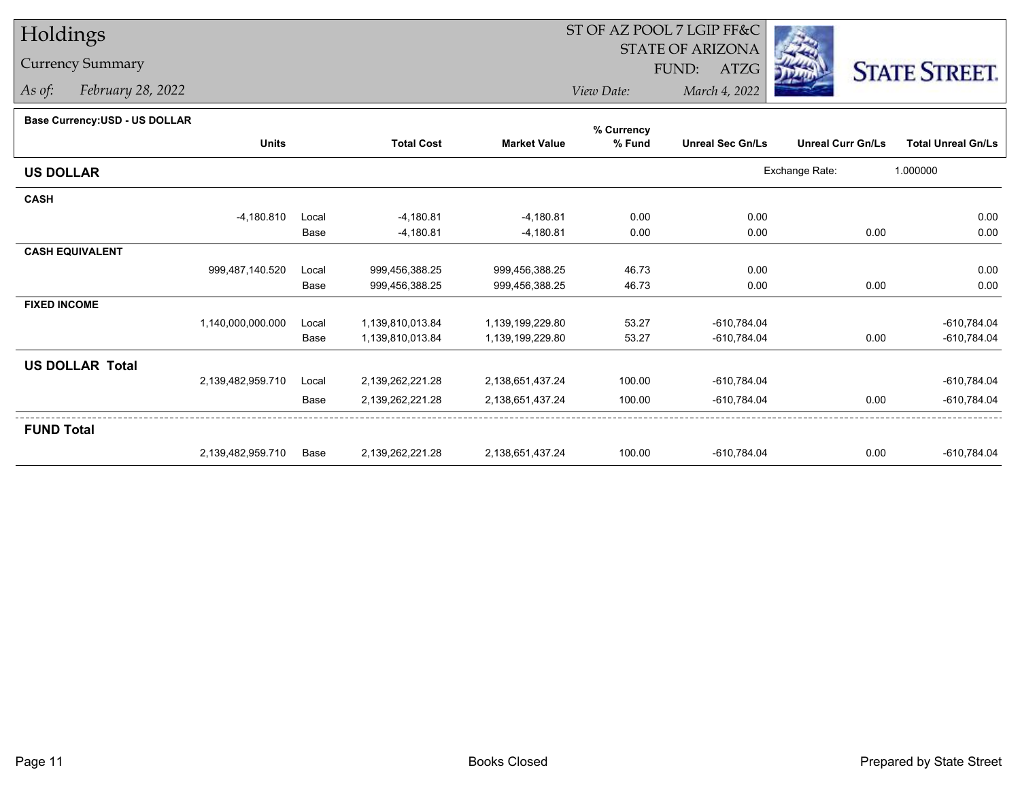## Holdings

## Currency Summary

*As of: February 28, 2022*

## ST OF AZ POOL 7 LGIP FF&C

STATE OF ARIZONA

FUND: ATZG



*View Date:March 4, 2022*

| Dase Currency: USD - US DULLAR |                   |       |                   |                     | % Currency |                         |                          |                           |
|--------------------------------|-------------------|-------|-------------------|---------------------|------------|-------------------------|--------------------------|---------------------------|
|                                | <b>Units</b>      |       | <b>Total Cost</b> | <b>Market Value</b> | % Fund     | <b>Unreal Sec Gn/Ls</b> | <b>Unreal Curr Gn/Ls</b> | <b>Total Unreal Gn/Ls</b> |
| <b>US DOLLAR</b>               |                   |       |                   |                     |            |                         | Exchange Rate:           | 1.000000                  |
| <b>CASH</b>                    |                   |       |                   |                     |            |                         |                          |                           |
|                                | $-4,180.810$      | Local | $-4,180.81$       | $-4,180.81$         | 0.00       | 0.00                    |                          | 0.00                      |
|                                |                   | Base  | $-4,180.81$       | $-4,180.81$         | 0.00       | 0.00                    | 0.00                     | 0.00                      |
| <b>CASH EQUIVALENT</b>         |                   |       |                   |                     |            |                         |                          |                           |
|                                | 999,487,140.520   | Local | 999,456,388.25    | 999,456,388.25      | 46.73      | 0.00                    |                          | 0.00                      |
|                                |                   | Base  | 999,456,388.25    | 999,456,388.25      | 46.73      | 0.00                    | 0.00                     | 0.00                      |
| <b>FIXED INCOME</b>            |                   |       |                   |                     |            |                         |                          |                           |
|                                | 1,140,000,000.000 | Local | 1,139,810,013.84  | 1,139,199,229.80    | 53.27      | $-610,784.04$           |                          | $-610,784.04$             |
|                                |                   | Base  | 1,139,810,013.84  | 1,139,199,229.80    | 53.27      | $-610,784.04$           | 0.00                     | $-610,784.04$             |
| <b>US DOLLAR Total</b>         |                   |       |                   |                     |            |                         |                          |                           |
|                                | 2,139,482,959.710 | Local | 2,139,262,221.28  | 2,138,651,437.24    | 100.00     | $-610,784.04$           |                          | $-610,784.04$             |
|                                |                   | Base  | 2,139,262,221.28  | 2,138,651,437.24    | 100.00     | $-610,784.04$           | 0.00                     | $-610,784.04$             |
| <b>FUND Total</b>              |                   |       |                   |                     |            |                         |                          |                           |
|                                | 2,139,482,959.710 | Base  | 2,139,262,221.28  | 2,138,651,437.24    | 100.00     | $-610,784.04$           | 0.00                     | $-610,784.04$             |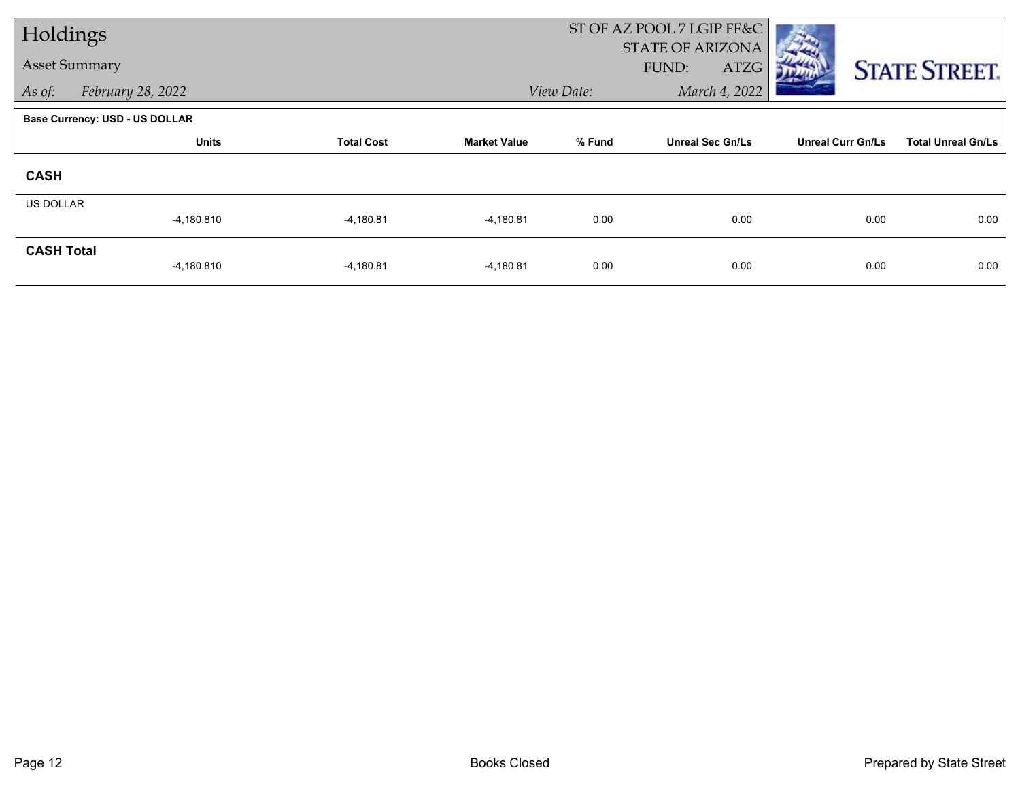| Holdings             |                                       |                   |                     | ST OF AZ POOL 7 LGIP FF&C |                                          |                          |                           |
|----------------------|---------------------------------------|-------------------|---------------------|---------------------------|------------------------------------------|--------------------------|---------------------------|
| <b>Asset Summary</b> |                                       |                   |                     |                           | <b>STATE OF ARIZONA</b><br>FUND:<br>ATZG |                          | <b>STATE STREET.</b>      |
| As of:               | February 28, 2022                     |                   |                     | View Date:                | March 4, 2022                            |                          |                           |
|                      | <b>Base Currency: USD - US DOLLAR</b> |                   |                     |                           |                                          |                          |                           |
|                      | <b>Units</b>                          | <b>Total Cost</b> | <b>Market Value</b> | % Fund                    | <b>Unreal Sec Gn/Ls</b>                  | <b>Unreal Curr Gn/Ls</b> | <b>Total Unreal Gn/Ls</b> |
| <b>CASH</b>          |                                       |                   |                     |                           |                                          |                          |                           |
| <b>US DOLLAR</b>     |                                       |                   |                     |                           |                                          |                          |                           |
|                      | $-4,180.810$                          | $-4,180.81$       | $-4,180.81$         | 0.00                      | 0.00                                     | 0.00                     | 0.00                      |
| <b>CASH Total</b>    | $-4,180.810$                          | $-4,180.81$       | $-4,180.81$         | 0.00                      | 0.00                                     | 0.00                     | 0.00                      |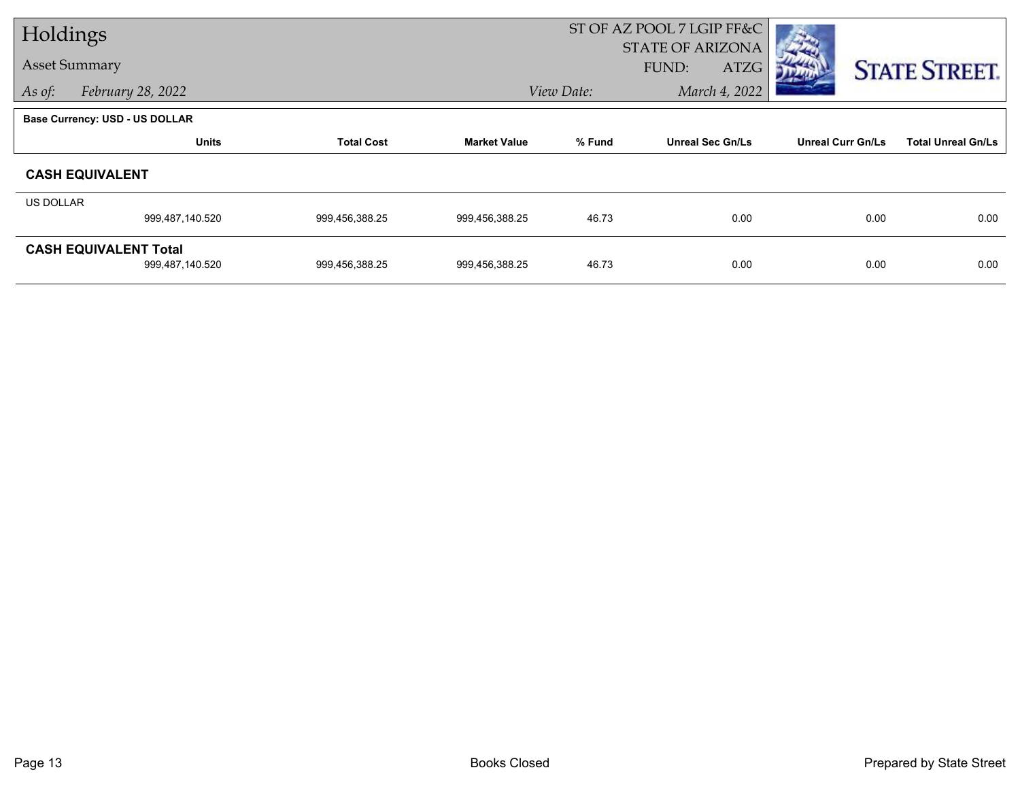| Holdings             |                                |                   | ST OF AZ POOL 7 LGIP FF&C |                             |                         |                          |                           |
|----------------------|--------------------------------|-------------------|---------------------------|-----------------------------|-------------------------|--------------------------|---------------------------|
| <b>Asset Summary</b> |                                |                   |                           |                             | <b>STATE OF ARIZONA</b> |                          |                           |
|                      |                                |                   |                           |                             | FUND:<br>ATZG           |                          | <b>STATE STREET.</b>      |
| As of:               | February 28, 2022              |                   |                           | March 4, 2022<br>View Date: |                         |                          |                           |
|                      | Base Currency: USD - US DOLLAR |                   |                           |                             |                         |                          |                           |
|                      | <b>Units</b>                   | <b>Total Cost</b> | <b>Market Value</b>       | % Fund                      | <b>Unreal Sec Gn/Ls</b> | <b>Unreal Curr Gn/Ls</b> | <b>Total Unreal Gn/Ls</b> |
|                      | <b>CASH EQUIVALENT</b>         |                   |                           |                             |                         |                          |                           |
| US DOLLAR            |                                |                   |                           |                             |                         |                          |                           |
|                      | 999,487,140.520                | 999,456,388.25    | 999,456,388.25            | 46.73                       | 0.00                    | 0.00                     | 0.00                      |
|                      | <b>CASH EQUIVALENT Total</b>   |                   |                           |                             |                         |                          |                           |
|                      | 999,487,140.520                | 999,456,388.25    | 999,456,388.25            | 46.73                       | 0.00                    | 0.00                     | 0.00                      |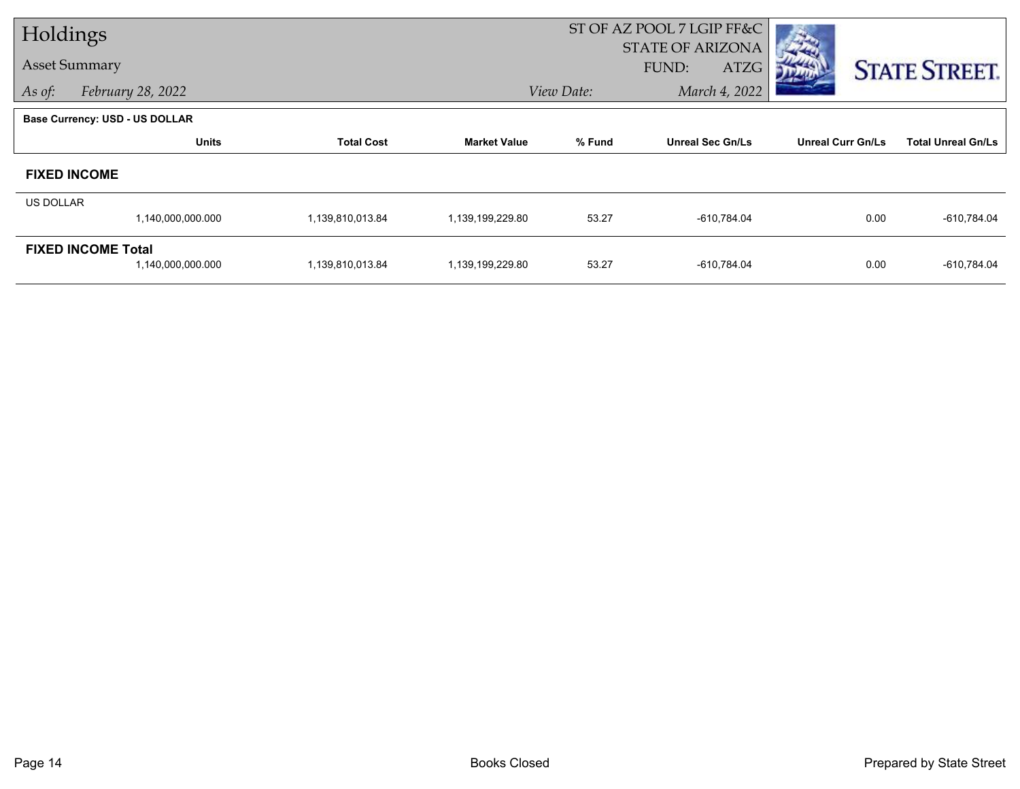| Holdings             |                                       |                   |                     | ST OF AZ POOL 7 LGIP FF&C |                                          |                          |                           |
|----------------------|---------------------------------------|-------------------|---------------------|---------------------------|------------------------------------------|--------------------------|---------------------------|
| <b>Asset Summary</b> |                                       |                   |                     |                           | <b>STATE OF ARIZONA</b><br>FUND:<br>ATZG |                          | <b>STATE STREET.</b>      |
| As of:               | February 28, 2022                     |                   |                     | View Date:                | March 4, 2022                            |                          |                           |
|                      | <b>Base Currency: USD - US DOLLAR</b> |                   |                     |                           |                                          |                          |                           |
|                      | <b>Units</b>                          | <b>Total Cost</b> | <b>Market Value</b> | % Fund                    | <b>Unreal Sec Gn/Ls</b>                  | <b>Unreal Curr Gn/Ls</b> | <b>Total Unreal Gn/Ls</b> |
|                      | <b>FIXED INCOME</b>                   |                   |                     |                           |                                          |                          |                           |
| <b>US DOLLAR</b>     |                                       |                   |                     |                           |                                          |                          |                           |
|                      | 1,140,000,000.000                     | 1,139,810,013.84  | 1,139,199,229.80    | 53.27                     | $-610,784.04$                            | 0.00                     | $-610,784.04$             |
|                      | <b>FIXED INCOME Total</b>             |                   |                     |                           |                                          |                          |                           |
|                      | 1,140,000,000.000                     | 1,139,810,013.84  | 1,139,199,229.80    | 53.27                     | $-610,784.04$                            | 0.00                     | $-610,784.04$             |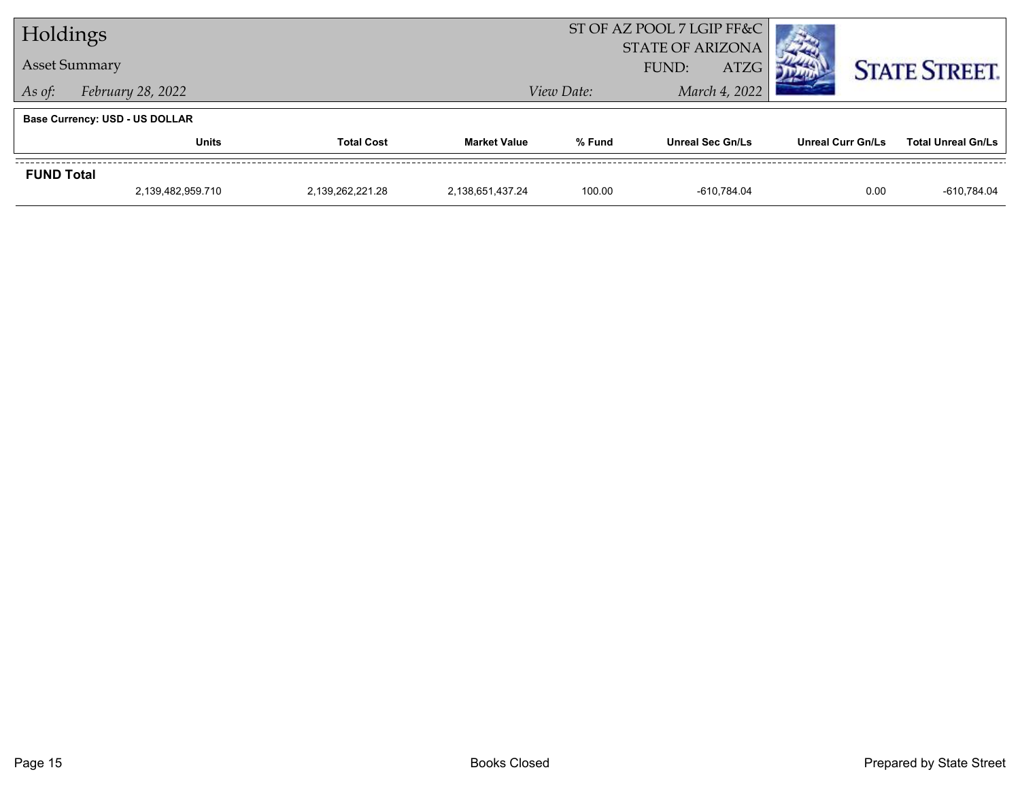| Holdings                              |                                       |                  | ST OF AZ POOL 7 LGIP FF&C |                                                 |                         |                          |                           |
|---------------------------------------|---------------------------------------|------------------|---------------------------|-------------------------------------------------|-------------------------|--------------------------|---------------------------|
| <b>Asset Summary</b>                  |                                       |                  |                           | <b>STATE OF ARIZONA</b><br><b>ATZG</b><br>FUND: |                         |                          | <b>STATE STREET.</b>      |
| February 28, 2022<br>As of:           |                                       |                  |                           | View Date:                                      |                         |                          |                           |
|                                       | <b>Base Currency: USD - US DOLLAR</b> |                  |                           |                                                 |                         |                          |                           |
|                                       | Units<br><b>Total Cost</b>            |                  | <b>Market Value</b>       | % Fund                                          | <b>Unreal Sec Gn/Ls</b> | <b>Unreal Curr Gn/Ls</b> | <b>Total Unreal Gn/Ls</b> |
| <b>FUND Total</b>                     |                                       |                  |                           |                                                 |                         |                          |                           |
| 2,139,482,959.710<br>2,139,262,221.28 |                                       | 2,138,651,437.24 | 100.00                    | -610.784.04                                     | 0.00                    | -610.784.04              |                           |